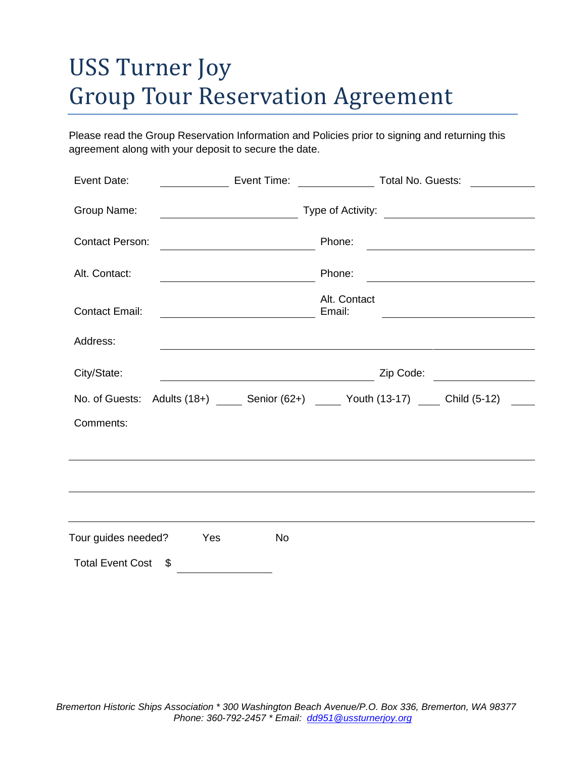# USS Turner Joy Group Tour Reservation Agreement

Please read the Group Reservation Information and Policies prior to signing and returning this agreement along with your deposit to secure the date.

| Event Date:                             | Event Time: | <b>CONFIDENTIAL Total No. Guests:</b>                                                   |
|-----------------------------------------|-------------|-----------------------------------------------------------------------------------------|
| Group Name:                             |             |                                                                                         |
| <b>Contact Person:</b>                  |             | Phone:                                                                                  |
| Alt. Contact:                           |             | Phone:                                                                                  |
| <b>Contact Email:</b>                   |             | Alt. Contact<br>Email:                                                                  |
| Address:                                |             |                                                                                         |
| City/State:                             |             | Zip Code: <u>_________________</u>                                                      |
|                                         |             | No. of Guests: Adults (18+) ______ Senior (62+) ______ Youth (13-17) _____ Child (5-12) |
| Comments:                               |             |                                                                                         |
|                                         |             |                                                                                         |
|                                         |             |                                                                                         |
|                                         |             |                                                                                         |
| Tour guides needed?<br>Yes<br><b>No</b> |             |                                                                                         |
| <b>Total Event Cost</b><br>S            |             |                                                                                         |